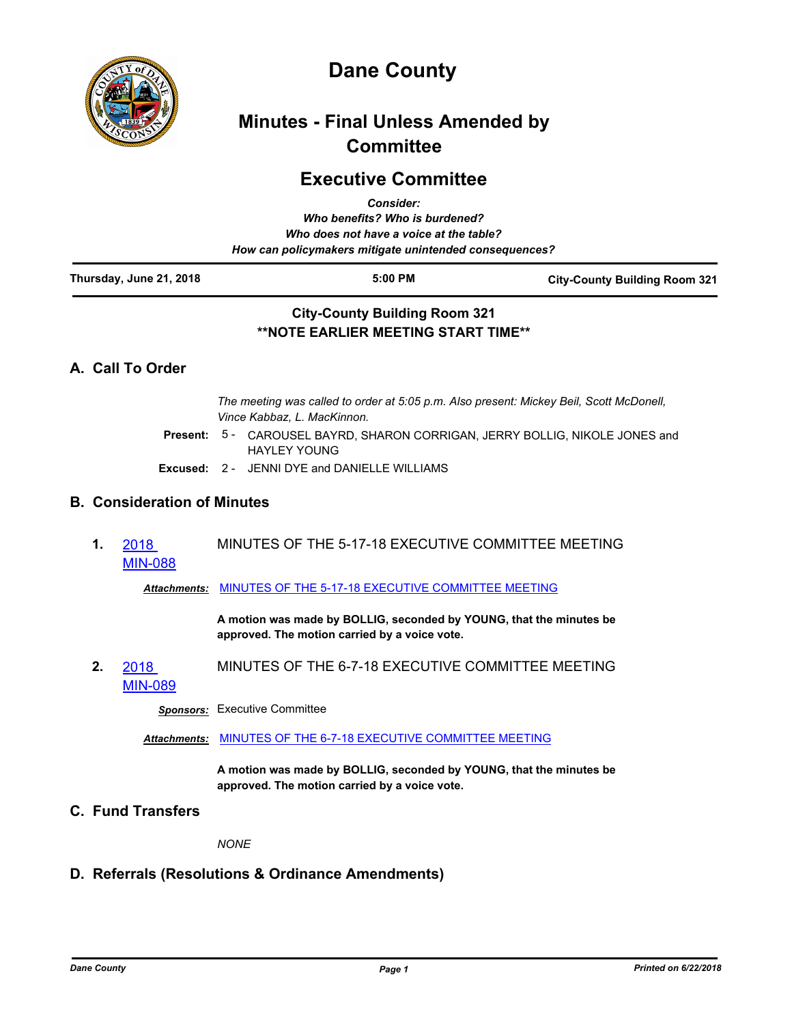

# **Dane County**

# **Minutes - Final Unless Amended by Committee**

## **Executive Committee**

| Thursday, June 21, 2018 | $5:00$ PM<br><b>City-County Building Room 321</b>                                                 | <b>City-County Building Room 321</b> |
|-------------------------|---------------------------------------------------------------------------------------------------|--------------------------------------|
|                         | Who does not have a voice at the table?<br>How can policymakers mitigate unintended consequences? |                                      |
|                         | Who benefits? Who is burdened?                                                                    |                                      |
|                         | <b>Consider:</b>                                                                                  |                                      |

## **\*\*NOTE EARLIER MEETING START TIME\*\***

## **A. Call To Order**

*The meeting was called to order at 5:05 p.m. Also present: Mickey Beil, Scott McDonell, Vince Kabbaz, L. MacKinnon.*

- Present: 5 CAROUSEL BAYRD, SHARON CORRIGAN, JERRY BOLLIG, NIKOLE JONES and HAYLEY YOUNG
- **Excused:** 2 JENNI DYE and DANIELLE WILLIAMS

## **B. Consideration of Minutes**

**1.** 2018 [MIN-088](http://dane.legistar.com/gateway.aspx?m=l&id=/matter.aspx?key=13029) MINUTES OF THE 5-17-18 EXECUTIVE COMMITTEE MEETING

*Attachments:* [MINUTES OF THE 5-17-18 EXECUTIVE COMMITTEE MEETING](http://dane.legistar.com/gateway.aspx?M=F&ID=cc49ae04-c622-498b-8b09-ba9b60c82203.pdf)

**A motion was made by BOLLIG, seconded by YOUNG, that the minutes be approved. The motion carried by a voice vote.**

**2.** 2018 [MIN-089](http://dane.legistar.com/gateway.aspx?m=l&id=/matter.aspx?key=13031) MINUTES OF THE 6-7-18 EXECUTIVE COMMITTEE MEETING

*Sponsors:* Executive Committee

*Attachments:* [MINUTES OF THE 6-7-18 EXECUTIVE COMMITTEE MEETING](http://dane.legistar.com/gateway.aspx?M=F&ID=8e479f5e-8dd7-4667-9431-c91475e17a7b.pdf)

**A motion was made by BOLLIG, seconded by YOUNG, that the minutes be approved. The motion carried by a voice vote.**

**C. Fund Transfers**

*NONE*

## **D. Referrals (Resolutions & Ordinance Amendments)**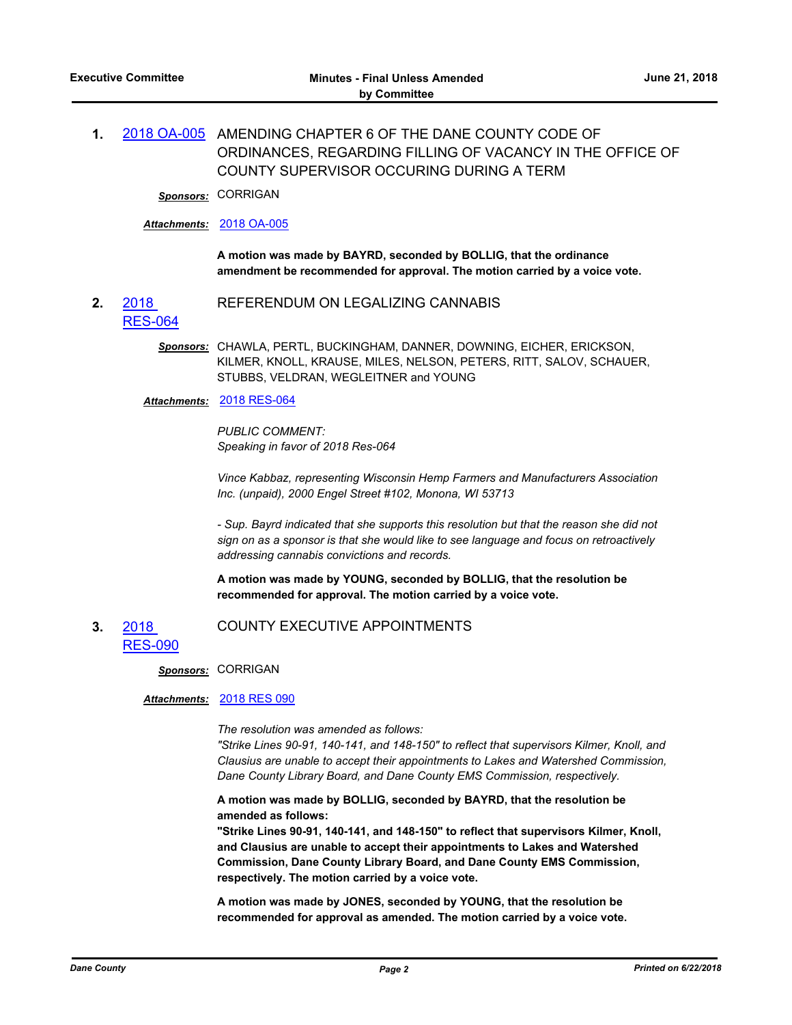## **1.** [2018 OA-005](http://dane.legistar.com/gateway.aspx?m=l&id=/matter.aspx?key=13016) AMENDING CHAPTER 6 OF THE DANE COUNTY CODE OF ORDINANCES, REGARDING FILLING OF VACANCY IN THE OFFICE OF COUNTY SUPERVISOR OCCURING DURING A TERM

*Sponsors:* CORRIGAN

#### *Attachments:* [2018 OA-005](http://dane.legistar.com/gateway.aspx?M=F&ID=ad43018c-8fdc-459d-898f-2f39da448aab.pdf)

**A motion was made by BAYRD, seconded by BOLLIG, that the ordinance amendment be recommended for approval. The motion carried by a voice vote.**

**2.** 2018 [RES-064](http://dane.legistar.com/gateway.aspx?m=l&id=/matter.aspx?key=12941) REFERENDUM ON LEGALIZING CANNABIS

> *Sponsors:* CHAWLA, PERTL, BUCKINGHAM, DANNER, DOWNING, EICHER, ERICKSON, KILMER, KNOLL, KRAUSE, MILES, NELSON, PETERS, RITT, SALOV, SCHAUER, STUBBS, VELDRAN, WEGLEITNER and YOUNG

#### *Attachments:* [2018 RES-064](http://dane.legistar.com/gateway.aspx?M=F&ID=94b4ead1-f696-4cc2-a9e2-4600fd2b0487.pdf)

*PUBLIC COMMENT: Speaking in favor of 2018 Res-064*

*Vince Kabbaz, representing Wisconsin Hemp Farmers and Manufacturers Association Inc. (unpaid), 2000 Engel Street #102, Monona, WI 53713*

*- Sup. Bayrd indicated that she supports this resolution but that the reason she did not sign on as a sponsor is that she would like to see language and focus on retroactively addressing cannabis convictions and records.*

**A motion was made by YOUNG, seconded by BOLLIG, that the resolution be recommended for approval. The motion carried by a voice vote.**

#### **3.** 2018 [RES-090](http://dane.legistar.com/gateway.aspx?m=l&id=/matter.aspx?key=13006) COUNTY EXECUTIVE APPOINTMENTS

#### *Sponsors:* CORRIGAN

#### *Attachments:* [2018 RES 090](http://dane.legistar.com/gateway.aspx?M=F&ID=56aa1ee5-fc42-4bef-b01a-eeb39a6a826e.pdf)

*The resolution was amended as follows:*

*"Strike Lines 90-91, 140-141, and 148-150" to reflect that supervisors Kilmer, Knoll, and Clausius are unable to accept their appointments to Lakes and Watershed Commission, Dane County Library Board, and Dane County EMS Commission, respectively.*

**A motion was made by BOLLIG, seconded by BAYRD, that the resolution be amended as follows:**

**"Strike Lines 90-91, 140-141, and 148-150" to reflect that supervisors Kilmer, Knoll, and Clausius are unable to accept their appointments to Lakes and Watershed Commission, Dane County Library Board, and Dane County EMS Commission, respectively. The motion carried by a voice vote.**

**A motion was made by JONES, seconded by YOUNG, that the resolution be recommended for approval as amended. The motion carried by a voice vote.**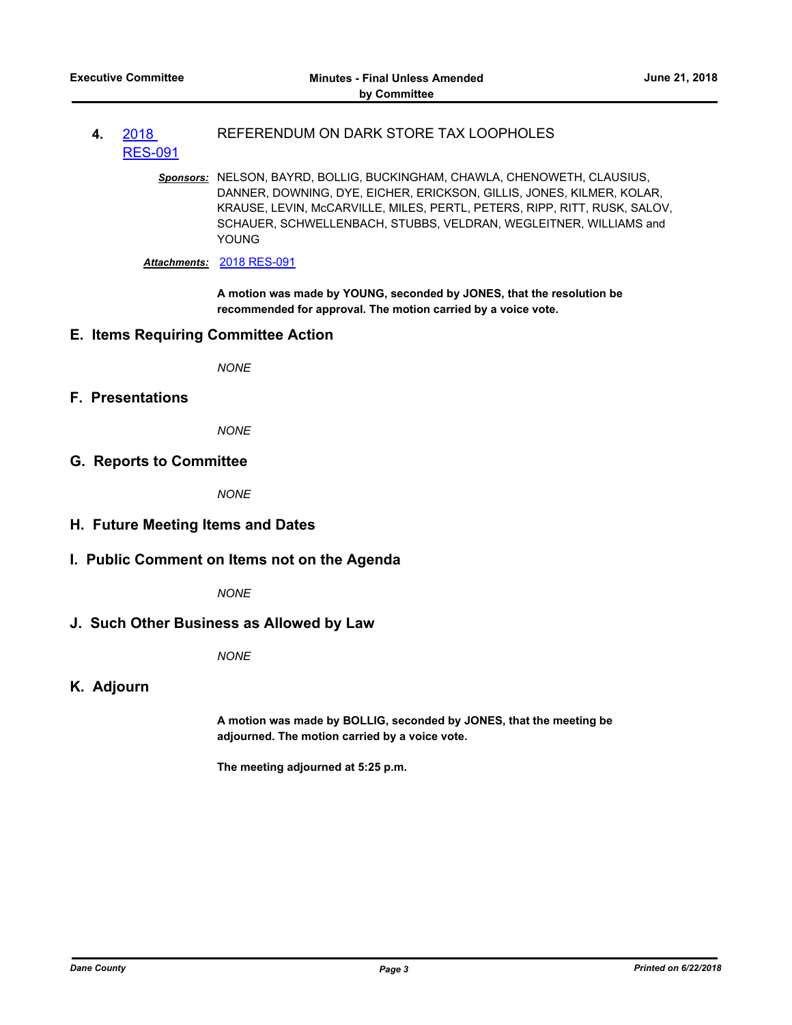- **4.** 2018 [RES-091](http://dane.legistar.com/gateway.aspx?m=l&id=/matter.aspx?key=13007) REFERENDUM ON DARK STORE TAX LOOPHOLES
	- *Sponsors:* NELSON, BAYRD, BOLLIG, BUCKINGHAM, CHAWLA, CHENOWETH, CLAUSIUS, DANNER, DOWNING, DYE, EICHER, ERICKSON, GILLIS, JONES, KILMER, KOLAR, KRAUSE, LEVIN, McCARVILLE, MILES, PERTL, PETERS, RIPP, RITT, RUSK, SALOV, SCHAUER, SCHWELLENBACH, STUBBS, VELDRAN, WEGLEITNER, WILLIAMS and YOUNG

*Attachments:* [2018 RES-091](http://dane.legistar.com/gateway.aspx?M=F&ID=5fa5b7e7-6bd0-4f44-a0bb-e6144889532b.pdf)

**A motion was made by YOUNG, seconded by JONES, that the resolution be recommended for approval. The motion carried by a voice vote.**

#### **E. Items Requiring Committee Action**

*NONE*

**F. Presentations**

*NONE*

**G. Reports to Committee**

*NONE*

#### **H. Future Meeting Items and Dates**

#### **I. Public Comment on Items not on the Agenda**

*NONE*

#### **J. Such Other Business as Allowed by Law**

*NONE*

#### **K. Adjourn**

**A motion was made by BOLLIG, seconded by JONES, that the meeting be adjourned. The motion carried by a voice vote.**

**The meeting adjourned at 5:25 p.m.**